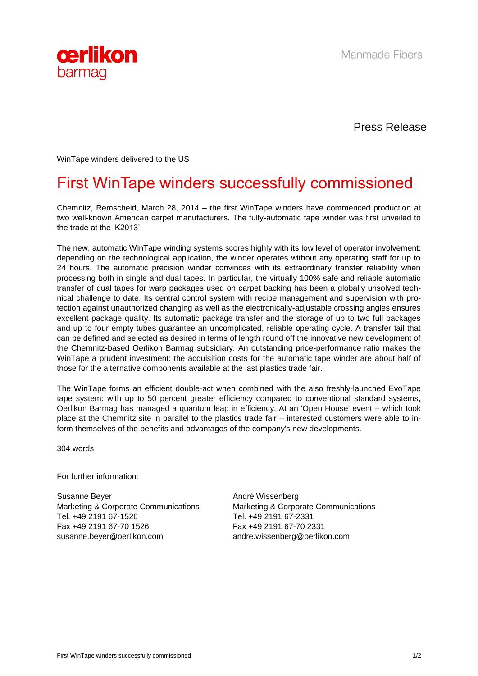



Press Release

WinTape winders delivered to the US

## First WinTape winders successfully commissioned

Chemnitz, Remscheid, March 28, 2014 – the first WinTape winders have commenced production at two well-known American carpet manufacturers. The fully-automatic tape winder was first unveiled to the trade at the 'K2013'.

The new, automatic WinTape winding systems scores highly with its low level of operator involvement: depending on the technological application, the winder operates without any operating staff for up to 24 hours. The automatic precision winder convinces with its extraordinary transfer reliability when processing both in single and dual tapes. In particular, the virtually 100% safe and reliable automatic transfer of dual tapes for warp packages used on carpet backing has been a globally unsolved technical challenge to date. Its central control system with recipe management and supervision with protection against unauthorized changing as well as the electronically-adjustable crossing angles ensures excellent package quality. Its automatic package transfer and the storage of up to two full packages and up to four empty tubes guarantee an uncomplicated, reliable operating cycle. A transfer tail that can be defined and selected as desired in terms of length round off the innovative new development of the Chemnitz-based Oerlikon Barmag subsidiary. An outstanding price-performance ratio makes the WinTape a prudent investment: the acquisition costs for the automatic tape winder are about half of those for the alternative components available at the last plastics trade fair.

The WinTape forms an efficient double-act when combined with the also freshly-launched EvoTape tape system: with up to 50 percent greater efficiency compared to conventional standard systems, Oerlikon Barmag has managed a quantum leap in efficiency. At an 'Open House' event – which took place at the Chemnitz site in parallel to the plastics trade fair – interested customers were able to inform themselves of the benefits and advantages of the company's new developments.

304 words

For further information:

Susanne Beyer Marketing & Corporate Communications Tel. +49 2191 67-1526 Fax +49 2191 67-70 1526 susanne.beyer@oerlikon.com

André Wissenberg Marketing & Corporate Communications Tel. +49 2191 67-2331 Fax +49 2191 67-70 2331 andre.wissenberg@oerlikon.com